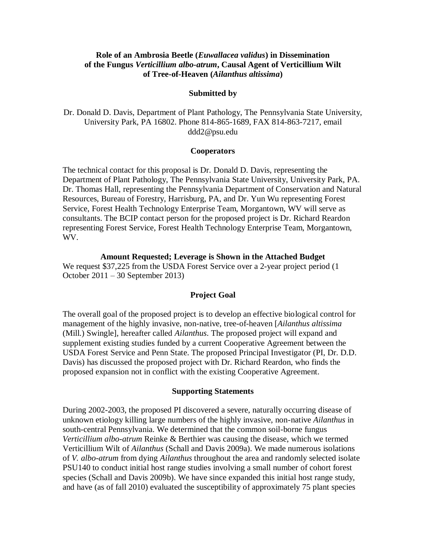# **Role of an Ambrosia Beetle (***Euwallacea validus***) in Dissemination of the Fungus** *Verticillium albo-atrum***, Causal Agent of Verticillium Wilt of Tree-of-Heaven (***Ailanthus altissima***)**

#### **Submitted by**

Dr. Donald D. Davis, Department of Plant Pathology, The Pennsylvania State University, University Park, PA 16802. Phone 814-865-1689, FAX 814-863-7217, email ddd2@psu.edu

### **Cooperators**

The technical contact for this proposal is Dr. Donald D. Davis, representing the Department of Plant Pathology, The Pennsylvania State University, University Park, PA. Dr. Thomas Hall, representing the Pennsylvania Department of Conservation and Natural Resources, Bureau of Forestry, Harrisburg, PA, and Dr. Yun Wu representing Forest Service, Forest Health Technology Enterprise Team, Morgantown, WV will serve as consultants. The BCIP contact person for the proposed project is Dr. Richard Reardon representing Forest Service, Forest Health Technology Enterprise Team, Morgantown, WV.

#### **Amount Requested; Leverage is Shown in the Attached Budget**

We request \$37,225 from the USDA Forest Service over a 2-year project period (1) October 2011 – 30 September 2013)

### **Project Goal**

The overall goal of the proposed project is to develop an effective biological control for management of the highly invasive, non-native, tree-of-heaven [*Ailanthus altissima* (Mill.) Swingle], hereafter called *Ailanthus*. The proposed project will expand and supplement existing studies funded by a current Cooperative Agreement between the USDA Forest Service and Penn State. The proposed Principal Investigator (PI, Dr. D.D. Davis) has discussed the proposed project with Dr. Richard Reardon, who finds the proposed expansion not in conflict with the existing Cooperative Agreement.

### **Supporting Statements**

During 2002-2003, the proposed PI discovered a severe, naturally occurring disease of unknown etiology killing large numbers of the highly invasive, non-native *Ailanthus* in south-central Pennsylvania. We determined that the common soil-borne fungus *Verticillium albo-atrum* Reinke & Berthier was causing the disease, which we termed Verticillium Wilt of *Ailanthus* (Schall and Davis 2009a). We made numerous isolations of *V. albo-atrum* from dying *Ailanthus* throughout the area and randomly selected isolate PSU140 to conduct initial host range studies involving a small number of cohort forest species (Schall and Davis 2009b). We have since expanded this initial host range study, and have (as of fall 2010) evaluated the susceptibility of approximately 75 plant species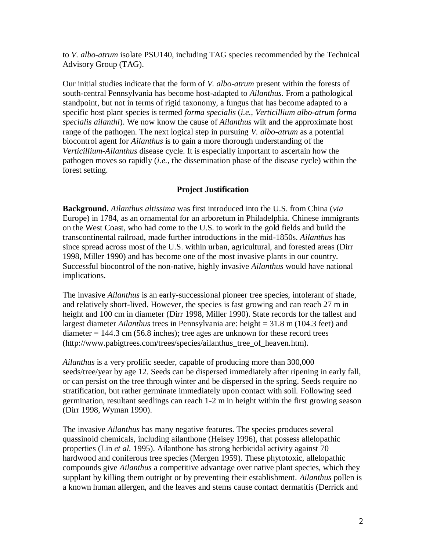to *V. albo-atrum* isolate PSU140, including TAG species recommended by the Technical Advisory Group (TAG).

Our initial studies indicate that the form of *V. albo-atrum* present within the forests of south-central Pennsylvania has become host-adapted to *Ailanthus*. From a pathological standpoint, but not in terms of rigid taxonomy, a fungus that has become adapted to a specific host plant species is termed *forma specialis* (*i.e., Verticillium albo-atrum forma specialis ailanthi*). We now know the cause of *Ailanthus* wilt and the approximate host range of the pathogen. The next logical step in pursuing *V. albo-atrum* as a potential biocontrol agent for *Ailanthus* is to gain a more thorough understanding of the *Verticillium-Ailanthus* disease cycle. It is especially important to ascertain how the pathogen moves so rapidly (*i.e.,* the dissemination phase of the disease cycle) within the forest setting.

# **Project Justification**

**Background.** *Ailanthus altissima* was first introduced into the U.S. from China (*via* Europe) in 1784, as an ornamental for an arboretum in Philadelphia. Chinese immigrants on the West Coast, who had come to the U.S. to work in the gold fields and build the transcontinental railroad, made further introductions in the mid-1850s. *Ailanthus* has since spread across most of the U.S. within urban, agricultural, and forested areas (Dirr 1998, Miller 1990) and has become one of the most invasive plants in our country. Successful biocontrol of the non-native, highly invasive *Ailanthus* would have national implications.

The invasive *Ailanthus* is an early-successional pioneer tree species, intolerant of shade, and relatively short-lived. However, the species is fast growing and can reach 27 m in height and 100 cm in diameter (Dirr 1998, Miller 1990). State records for the tallest and largest diameter *Ailanthus* trees in Pennsylvania are: height = 31.8 m (104.3 feet) and diameter  $= 144.3$  cm (56.8 inches); tree ages are unknown for these record trees (http://www.pabigtrees.com/trees/species/ailanthus\_tree\_of\_heaven.htm).

*Ailanthus* is a very prolific seeder, capable of producing more than 300,000 seeds/tree/year by age 12. Seeds can be dispersed immediately after ripening in early fall, or can persist on the tree through winter and be dispersed in the spring. Seeds require no stratification, but rather germinate immediately upon contact with soil. Following seed germination, resultant seedlings can reach 1-2 m in height within the first growing season (Dirr 1998, Wyman 1990).

The invasive *Ailanthus* has many negative features. The species produces several quassinoid chemicals, including ailanthone (Heisey 1996), that possess allelopathic properties (Lin *et al.* 1995). Ailanthone has strong herbicidal activity against 70 hardwood and coniferous tree species (Mergen 1959). These phytotoxic, allelopathic compounds give *Ailanthus* a competitive advantage over native plant species, which they supplant by killing them outright or by preventing their establishment. *Ailanthus* pollen is a known human allergen, and the leaves and stems cause contact dermatitis (Derrick and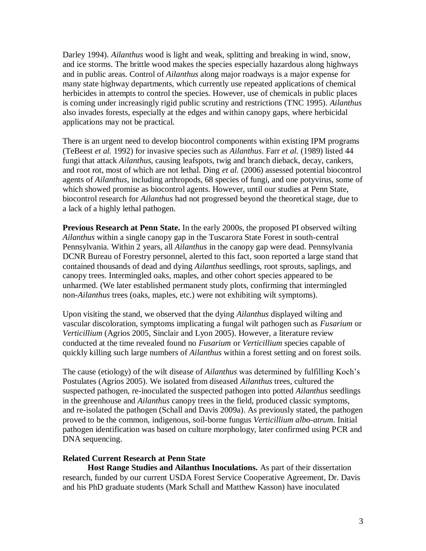Darley 1994). *Ailanthus* wood is light and weak, splitting and breaking in wind, snow, and ice storms. The brittle wood makes the species especially hazardous along highways and in public areas. Control of *Ailanthus* along major roadways is a major expense for many state highway departments, which currently use repeated applications of chemical herbicides in attempts to control the species. However, use of chemicals in public places is coming under increasingly rigid public scrutiny and restrictions (TNC 1995). *Ailanthus* also invades forests, especially at the edges and within canopy gaps, where herbicidal applications may not be practical.

There is an urgent need to develop biocontrol components within existing IPM programs (TeBeest *et al.* 1992) for invasive species such as *Ailanthus*. Farr *et al.* (1989) listed 44 fungi that attack *Ailanthus*, causing leafspots, twig and branch dieback, decay, cankers, and root rot, most of which are not lethal. Ding *et al.* (2006) assessed potential biocontrol agents of *Ailanthus*, including arthropods, 68 species of fungi, and one potyvirus, some of which showed promise as biocontrol agents. However, until our studies at Penn State, biocontrol research for *Ailanthus* had not progressed beyond the theoretical stage, due to a lack of a highly lethal pathogen.

**Previous Research at Penn State.** In the early 2000s, the proposed PI observed wilting *Ailanthus* within a single canopy gap in the Tuscarora State Forest in south-central Pennsylvania. Within 2 years, all *Ailanthus* in the canopy gap were dead. Pennsylvania DCNR Bureau of Forestry personnel, alerted to this fact, soon reported a large stand that contained thousands of dead and dying *Ailanthus* seedlings, root sprouts, saplings, and canopy trees. Intermingled oaks, maples, and other cohort species appeared to be unharmed. (We later established permanent study plots, confirming that intermingled non-*Ailanthus* trees (oaks, maples, etc.) were not exhibiting wilt symptoms).

Upon visiting the stand, we observed that the dying *Ailanthus* displayed wilting and vascular discoloration, symptoms implicating a fungal wilt pathogen such as *Fusarium* or *Verticillium* (Agrios 2005, Sinclair and Lyon 2005). However, a literature review conducted at the time revealed found no *Fusarium* or *Verticillium* species capable of quickly killing such large numbers of *Ailanthus* within a forest setting and on forest soils.

The cause (etiology) of the wilt disease of *Ailanthus* was determined by fulfilling Koch's Postulates (Agrios 2005). We isolated from diseased *Ailanthus* trees, cultured the suspected pathogen, re-inoculated the suspected pathogen into potted *Ailanthus* seedlings in the greenhouse and *Ailanthus* canopy trees in the field, produced classic symptoms, and re-isolated the pathogen (Schall and Davis 2009a). As previously stated, the pathogen proved to be the common, indigenous, soil-borne fungus *Verticillium albo-atrum*. Initial pathogen identification was based on culture morphology, later confirmed using PCR and DNA sequencing.

### **Related Current Research at Penn State**

**Host Range Studies and Ailanthus Inoculations.** As part of their dissertation research, funded by our current USDA Forest Service Cooperative Agreement, Dr. Davis and his PhD graduate students (Mark Schall and Matthew Kasson) have inoculated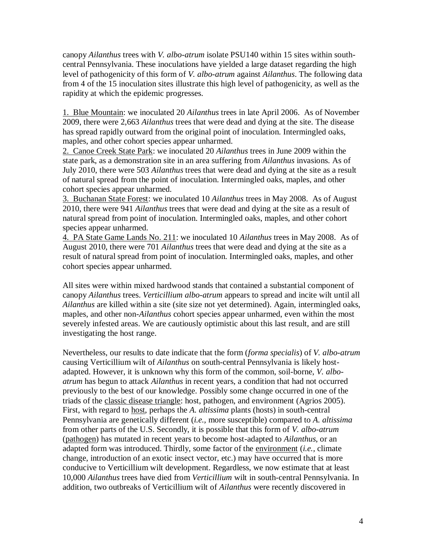canopy *Ailanthus* trees with *V. albo-atrum* isolate PSU140 within 15 sites within southcentral Pennsylvania. These inoculations have yielded a large dataset regarding the high level of pathogenicity of this form of *V. albo-atrum* against *Ailanthus*. The following data from 4 of the 15 inoculation sites illustrate this high level of pathogenicity, as well as the rapidity at which the epidemic progresses.

1. Blue Mountain: we inoculated 20 *Ailanthus* trees in late April 2006. As of November 2009, there were 2,663 *Ailanthus* trees that were dead and dying at the site. The disease has spread rapidly outward from the original point of inoculation. Intermingled oaks, maples, and other cohort species appear unharmed.

2. Canoe Creek State Park: we inoculated 20 *Ailanthus* trees in June 2009 within the state park, as a demonstration site in an area suffering from *Ailanthus* invasions. As of July 2010, there were 503 *Ailanthus* trees that were dead and dying at the site as a result of natural spread from the point of inoculation. Intermingled oaks, maples, and other cohort species appear unharmed.

3. Buchanan State Forest: we inoculated 10 *Ailanthus* trees in May 2008. As of August 2010, there were 941 *Ailanthus* trees that were dead and dying at the site as a result of natural spread from point of inoculation. Intermingled oaks, maples, and other cohort species appear unharmed.

4. PA State Game Lands No. 211: we inoculated 10 *Ailanthus* trees in May 2008. As of August 2010, there were 701 *Ailanthus* trees that were dead and dying at the site as a result of natural spread from point of inoculation. Intermingled oaks, maples, and other cohort species appear unharmed.

All sites were within mixed hardwood stands that contained a substantial component of canopy *Ailanthus* trees. *Verticillium albo-atrum* appears to spread and incite wilt until all *Ailanthus* are killed within a site (site size not yet determined). Again, intermingled oaks, maples, and other non-*Ailanthus* cohort species appear unharmed, even within the most severely infested areas. We are cautiously optimistic about this last result, and are still investigating the host range.

Nevertheless, our results to date indicate that the form (*forma specialis*) of *V. albo-atrum* causing Verticillium wilt of *Ailanthus* on south-central Pennsylvania is likely hostadapted. However, it is unknown why this form of the common, soil-borne, *V. alboatrum* has begun to attack *Ailanthus* in recent years, a condition that had not occurred previously to the best of our knowledge. Possibly some change occurred in one of the triads of the classic disease triangle: host, pathogen, and environment (Agrios 2005). First, with regard to host, perhaps the *A. altissima* plants (hosts) in south-central Pennsylvania are genetically different (*i.e.,* more susceptible) compared to *A. altissima* from other parts of the U.S. Secondly, it is possible that this form of *V. albo-atrum* (pathogen) has mutated in recent years to become host-adapted to *Ailanthus*, or an adapted form was introduced. Thirdly, some factor of the environment (*i.e.,* climate change, introduction of an exotic insect vector, etc.) may have occurred that is more conducive to Verticillium wilt development. Regardless, we now estimate that at least 10,000 *Ailanthus* trees have died from *Verticillium* wilt in south-central Pennsylvania. In addition, two outbreaks of Verticillium wilt of *Ailanthus* were recently discovered in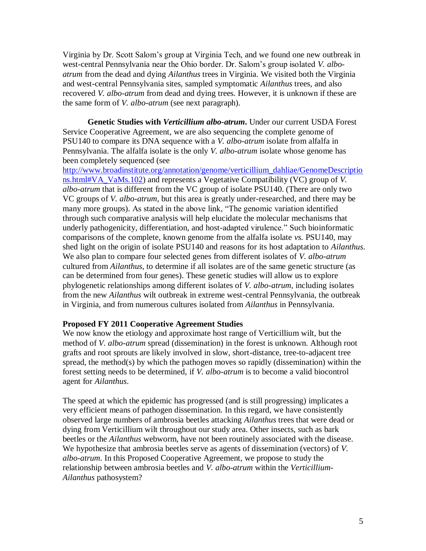Virginia by Dr. Scott Salom's group at Virginia Tech, and we found one new outbreak in west-central Pennsylvania near the Ohio border. Dr. Salom's group isolated *V. alboatrum* from the dead and dying *Ailanthus* trees in Virginia. We visited both the Virginia and west-central Pennsylvania sites, sampled symptomatic *Ailanthus* trees, and also recovered *V. albo-atrum* from dead and dying trees. However, it is unknown if these are the same form of *V. albo-atrum* (see next paragraph)*.*

**Genetic Studies with** *Verticillium albo-atrum***.** Under our current USDA Forest Service Cooperative Agreement, we are also sequencing the complete genome of PSU140 to compare its DNA sequence with a *V. albo-atrum* isolate from alfalfa in Pennsylvania. The alfalfa isolate is the only *V. albo-atrum* isolate whose genome has been completely sequenced (see

[http://www.broadinstitute.org/annotation/genome/verticillium\\_dahliae/GenomeDescriptio](http://www.broadinstitute.org/annotation/genome/verticillium_dahliae/GenomeDescriptions.html#VA_VaMs.102) [ns.html#VA\\_VaMs.102\)](http://www.broadinstitute.org/annotation/genome/verticillium_dahliae/GenomeDescriptions.html#VA_VaMs.102) and represents a Vegetative Compatibility (VC) group of *V. albo-atrum* that is different from the VC group of isolate PSU140. (There are only two VC groups of *V. albo-atrum*, but this area is greatly under-researched, and there may be many more groups). As stated in the above link, "The genomic variation identified through such comparative analysis will help elucidate the molecular mechanisms that underly pathogenicity, differentiation, and host-adapted virulence." Such bioinformatic comparisons of the complete, known genome from the alfalfa isolate *vs.* PSU140, may shed light on the origin of isolate PSU140 and reasons for its host adaptation to *Ailanthus*. We also plan to compare four selected genes from different isolates of *V. albo-atrum* cultured from *Ailanthus,* to determine if all isolates are of the same genetic structure (as can be determined from four genes). These genetic studies will allow us to explore phylogenetic relationships among different isolates of *V. albo-atrum*, including isolates from the new *Ailanthus* wilt outbreak in extreme west-central Pennsylvania, the outbreak in Virginia, and from numerous cultures isolated from *Ailanthus* in Pennsylvania.

## **Proposed FY 2011 Cooperative Agreement Studies**

We now know the etiology and approximate host range of Verticillium wilt, but the method of *V. albo-atrum* spread (dissemination) in the forest is unknown. Although root grafts and root sprouts are likely involved in slow, short-distance, tree-to-adjacent tree spread, the method(s) by which the pathogen moves so rapidly (dissemination) within the forest setting needs to be determined, if *V. albo-atrum* is to become a valid biocontrol agent for *Ailanthus*.

The speed at which the epidemic has progressed (and is still progressing) implicates a very efficient means of pathogen dissemination. In this regard, we have consistently observed large numbers of ambrosia beetles attacking *Ailanthus* trees that were dead or dying from Verticillium wilt throughout our study area. Other insects, such as bark beetles or the *Ailanthus* webworm, have not been routinely associated with the disease. We hypothesize that ambrosia beetles serve as agents of dissemination (vectors) of *V. albo-atrum*. In this Proposed Cooperative Agreement, we propose to study the relationship between ambrosia beetles and *V. albo-atrum* within the *Verticillium-Ailanthus* pathosystem?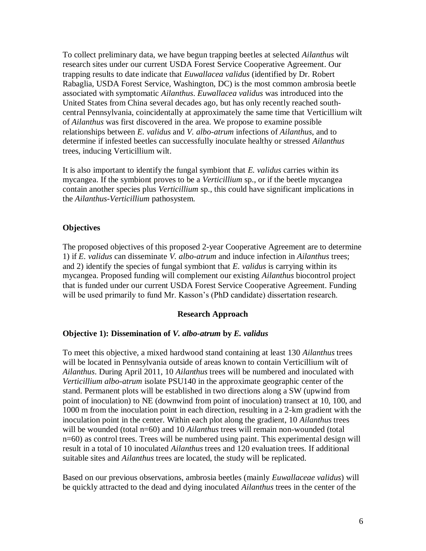To collect preliminary data, we have begun trapping beetles at selected *Ailanthus* wilt research sites under our current USDA Forest Service Cooperative Agreement. Our trapping results to date indicate that *Euwallacea validus* (identified by Dr. Robert Rabaglia, USDA Forest Service, Washington, DC) is the most common ambrosia beetle associated with symptomatic *Ailanthus*. *Euwallacea validus* was introduced into the United States from China several decades ago, but has only recently reached southcentral Pennsylvania, coincidentally at approximately the same time that Verticillium wilt of *Ailanthus* was first discovered in the area. We propose to examine possible relationships between *E. validus* and *V. albo-atrum* infections of *Ailanthus*, and to determine if infested beetles can successfully inoculate healthy or stressed *Ailanthus* trees, inducing Verticillium wilt.

It is also important to identify the fungal symbiont that *E. validus* carries within its mycangea. If the symbiont proves to be a *Verticillium* sp., or if the beetle mycangea contain another species plus *Verticillium* sp., this could have significant implications in the *Ailanthus-Verticillium* pathosystem.

# **Objectives**

The proposed objectives of this proposed 2-year Cooperative Agreement are to determine 1) if *E. validus* can disseminate *V. albo-atrum* and induce infection in *Ailanthus* trees; and 2) identify the species of fungal symbiont that *E. validus* is carrying within its mycangea. Proposed funding will complement our existing *Ailanthus* biocontrol project that is funded under our current USDA Forest Service Cooperative Agreement. Funding will be used primarily to fund Mr. Kasson's (PhD candidate) dissertation research.

### **Research Approach**

## **Objective 1): Dissemination of** *V. albo-atrum* **by** *E. validus*

To meet this objective, a mixed hardwood stand containing at least 130 *Ailanthus* trees will be located in Pennsylvania outside of areas known to contain Verticillium wilt of *Ailanthus*. During April 2011, 10 *Ailanthus* trees will be numbered and inoculated with *Verticillium albo-atrum* isolate PSU140 in the approximate geographic center of the stand. Permanent plots will be established in two directions along a SW (upwind from point of inoculation) to NE (downwind from point of inoculation) transect at 10, 100, and 1000 m from the inoculation point in each direction, resulting in a 2-km gradient with the inoculation point in the center. Within each plot along the gradient, 10 *Ailanthus* trees will be wounded (total n=60) and 10 *Ailanthus* trees will remain non-wounded (total n=60) as control trees. Trees will be numbered using paint. This experimental design will result in a total of 10 inoculated *Ailanthus* trees and 120 evaluation trees. If additional suitable sites and *Ailanthus* trees are located, the study will be replicated.

Based on our previous observations, ambrosia beetles (mainly *Euwallaceae validus*) will be quickly attracted to the dead and dying inoculated *Ailanthus* trees in the center of the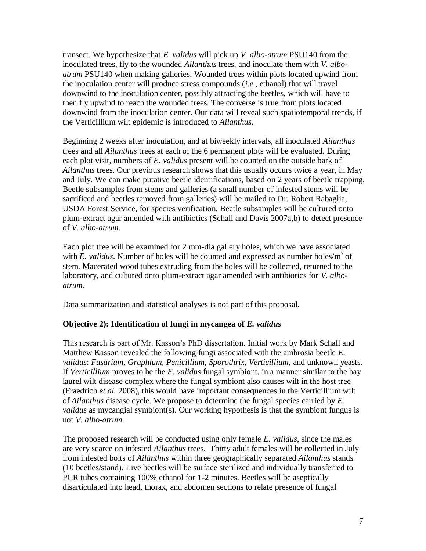transect. We hypothesize that *E. validus* will pick up *V. albo-atrum* PSU140 from the inoculated trees, fly to the wounded *Ailanthus* trees, and inoculate them with *V. alboatrum* PSU140 when making galleries. Wounded trees within plots located upwind from the inoculation center will produce stress compounds (*i.e.,* ethanol) that will travel downwind to the inoculation center, possibly attracting the beetles, which will have to then fly upwind to reach the wounded trees. The converse is true from plots located downwind from the inoculation center. Our data will reveal such spatiotemporal trends, if the Verticillium wilt epidemic is introduced to *Ailanthus*.

Beginning 2 weeks after inoculation, and at biweekly intervals, all inoculated *Ailanthus* trees and all *Ailanthus* trees at each of the 6 permanent plots will be evaluated. During each plot visit, numbers of *E. validus* present will be counted on the outside bark of *Ailanthus* trees. Our previous research shows that this usually occurs twice a year, in May and July. We can make putative beetle identifications, based on 2 years of beetle trapping. Beetle subsamples from stems and galleries (a small number of infested stems will be sacrificed and beetles removed from galleries) will be mailed to Dr. Robert Rabaglia, USDA Forest Service, for species verification. Beetle subsamples will be cultured onto plum-extract agar amended with antibiotics (Schall and Davis 2007a,b) to detect presence of *V. albo-atrum*.

Each plot tree will be examined for 2 mm-dia gallery holes, which we have associated with *E. validus*. Number of holes will be counted and expressed as number holes/ $m^2$  of stem. Macerated wood tubes extruding from the holes will be collected, returned to the laboratory, and cultured onto plum-extract agar amended with antibiotics for *V. alboatrum.*

Data summarization and statistical analyses is not part of this proposal.

# **Objective 2): Identification of fungi in mycangea of** *E. validus*

This research is part of Mr. Kasson's PhD dissertation. Initial work by Mark Schall and Matthew Kasson revealed the following fungi associated with the ambrosia beetle *E. validus*: *Fusarium, Graphium, Penicillium, Sporothrix, Verticillium,* and unknown yeasts. If *Verticillium* proves to be the *E. validus* fungal symbiont, in a manner similar to the bay laurel wilt disease complex where the fungal symbiont also causes wilt in the host tree (Fraedrich *et al.* 2008), this would have important consequences in the Verticillium wilt of *Ailanthus* disease cycle. We propose to determine the fungal species carried by *E. validus* as mycangial symbiont(s). Our working hypothesis is that the symbiont fungus is not *V. albo-atrum.*

The proposed research will be conducted using only female *E. validus*, since the males are very scarce on infested *Ailanthus* trees. Thirty adult females will be collected in July from infested bolts of *Ailanthus* within three geographically separated *Ailanthus* stands (10 beetles/stand). Live beetles will be surface sterilized and individually transferred to PCR tubes containing 100% ethanol for 1-2 minutes. Beetles will be aseptically disarticulated into head, thorax, and abdomen sections to relate presence of fungal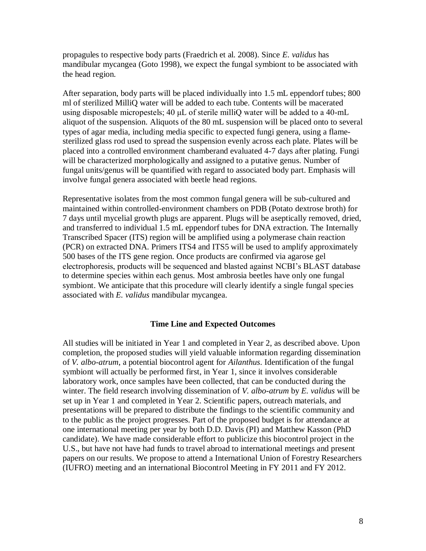propagules to respective body parts (Fraedrich et al. 2008). Since *E. validus* has mandibular mycangea (Goto 1998), we expect the fungal symbiont to be associated with the head region.

After separation, body parts will be placed individually into 1.5 mL eppendorf tubes; 800 ml of sterilized MilliQ water will be added to each tube. Contents will be macerated using disposable micropestels; 40 μL of sterile milliQ water will be added to a 40-mL aliquot of the suspension. Aliquots of the 80 mL suspension will be placed onto to several types of agar media, including media specific to expected fungi genera, using a flamesterilized glass rod used to spread the suspension evenly across each plate. Plates will be placed into a controlled environment chamberand evaluated 4-7 days after plating. Fungi will be characterized morphologically and assigned to a putative genus. Number of fungal units/genus will be quantified with regard to associated body part. Emphasis will involve fungal genera associated with beetle head regions.

Representative isolates from the most common fungal genera will be sub-cultured and maintained within controlled-environment chambers on PDB (Potato dextrose broth) for 7 days until mycelial growth plugs are apparent. Plugs will be aseptically removed, dried, and transferred to individual 1.5 mL eppendorf tubes for DNA extraction. The Internally Transcribed Spacer (ITS) region will be amplified using a polymerase chain reaction (PCR) on extracted DNA. Primers ITS4 and ITS5 will be used to amplify approximately 500 bases of the ITS gene region. Once products are confirmed via agarose gel electrophoresis, products will be sequenced and blasted against NCBI's BLAST database to determine species within each genus. Most ambrosia beetles have only one fungal symbiont. We anticipate that this procedure will clearly identify a single fungal species associated with *E. validus* mandibular mycangea.

### **Time Line and Expected Outcomes**

All studies will be initiated in Year 1 and completed in Year 2, as described above. Upon completion, the proposed studies will yield valuable information regarding dissemination of *V. albo-atrum*, a potential biocontrol agent for *Ailanthus*. Identification of the fungal symbiont will actually be performed first, in Year 1, since it involves considerable laboratory work, once samples have been collected, that can be conducted during the winter. The field research involving dissemination of *V. albo-atrum* by *E. validus* will be set up in Year 1 and completed in Year 2. Scientific papers, outreach materials, and presentations will be prepared to distribute the findings to the scientific community and to the public as the project progresses. Part of the proposed budget is for attendance at one international meeting per year by both D.D. Davis (PI) and Matthew Kasson (PhD candidate). We have made considerable effort to publicize this biocontrol project in the U.S., but have not have had funds to travel abroad to international meetings and present papers on our results. We propose to attend a International Union of Forestry Researchers (IUFRO) meeting and an international Biocontrol Meeting in FY 2011 and FY 2012.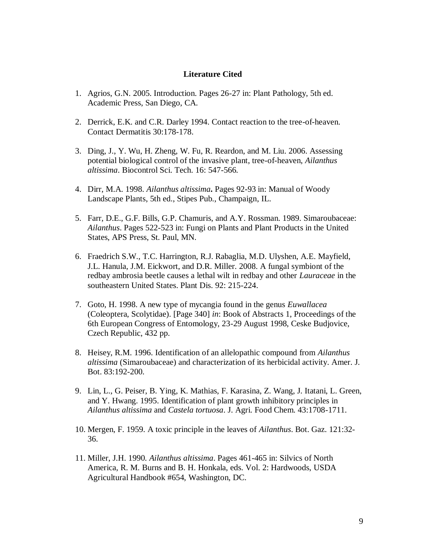### **Literature Cited**

- 1. Agrios, G.N. 2005. Introduction. Pages 26-27 in: Plant Pathology, 5th ed. Academic Press, San Diego, CA.
- 2. Derrick, E.K. and C.R. Darley 1994. Contact reaction to the tree-of-heaven. Contact Dermatitis 30:178-178.
- 3. Ding, J., Y. Wu, H. Zheng, W. Fu, R. Reardon, and M. Liu. 2006. Assessing potential biological control of the invasive plant, tree-of-heaven, *Ailanthus altissima*. Biocontrol Sci. Tech. 16: 547-566.
- 4. Dirr, M.A. 1998. *Ailanthus altissima***.** Pages 92-93 in: Manual of Woody Landscape Plants, 5th ed., Stipes Pub., Champaign, IL.
- 5. Farr, D.E., G.F. Bills, G.P. Chamuris, and A.Y. Rossman. 1989. Simaroubaceae: *Ailanthus*. Pages 522-523 in: Fungi on Plants and Plant Products in the United States, APS Press, St. Paul, MN.
- 6. Fraedrich S.W., T.C. Harrington, R.J. Rabaglia, M.D. Ulyshen, A.E. Mayfield, J.L. Hanula, J.M. Eickwort, and D.R. Miller. 2008. A fungal symbiont of the redbay ambrosia beetle causes a lethal wilt in redbay and other *Lauraceae* in the southeastern United States. Plant Dis. 92: 215-224.
- 7. Goto, H. 1998. A new type of mycangia found in the genus *Euwallacea* (Coleoptera, Scolytidae). [Page 340] *in*: Book of Abstracts 1, Proceedings of the 6th European Congress of Entomology, 23-29 August 1998, Ceske Budjovice, Czech Republic, 432 pp.
- 8. Heisey, R.M. 1996. Identification of an allelopathic compound from *Ailanthus altissima* (Simaroubaceae) and characterization of its herbicidal activity. Amer. J. Bot. 83:192-200.
- 9. Lin, L., G. Peiser, B. Ying, K. Mathias, F. Karasina, Z. Wang, J. Itatani, L. Green, and Y. Hwang. 1995. Identification of plant growth inhibitory principles in *Ailanthus altissima* and *Castela tortuosa*. J. Agri. Food Chem. 43:1708-1711.
- 10. Mergen, F. 1959. A toxic principle in the leaves of *Ailanthus*. Bot. Gaz. 121:32- 36.
- 11. Miller, J.H. 1990. *Ailanthus altissima*. Pages 461-465 in: Silvics of North America, R. M. Burns and B. H. Honkala, eds. Vol. 2: Hardwoods, USDA Agricultural Handbook #654, Washington, DC.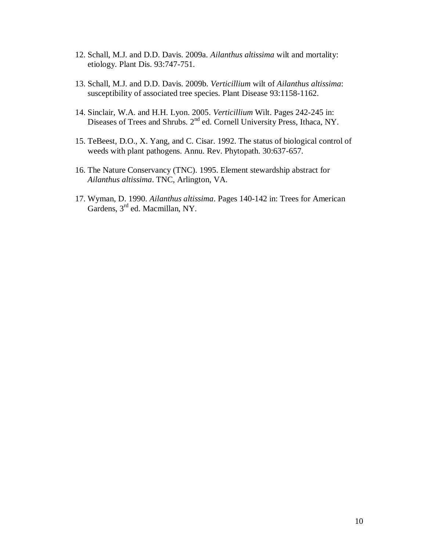- 12. Schall, M.J. and D.D. Davis. 2009a. *Ailanthus altissima* wilt and mortality: etiology. Plant Dis. 93:747-751.
- 13. Schall, M.J. and D.D. Davis. 2009b. *Verticillium* wilt of *Ailanthus altissima*: susceptibility of associated tree species. Plant Disease 93:1158-1162.
- 14. Sinclair, W.A. and H.H. Lyon. 2005. *Verticillium* Wilt. Pages 242-245 in: Diseases of Trees and Shrubs. 2<sup>nd</sup> ed. Cornell University Press, Ithaca, NY.
- 15. TeBeest, D.O., X. Yang, and C. Cisar. 1992. The status of biological control of weeds with plant pathogens. Annu. Rev. Phytopath. 30:637-657.
- 16. The Nature Conservancy (TNC). 1995. Element stewardship abstract for *Ailanthus altissima*. TNC, Arlington, VA.
- 17. Wyman, D. 1990. *Ailanthus altissima*. Pages 140-142 in: Trees for American Gardens, 3<sup>rd</sup> ed. Macmillan, NY.